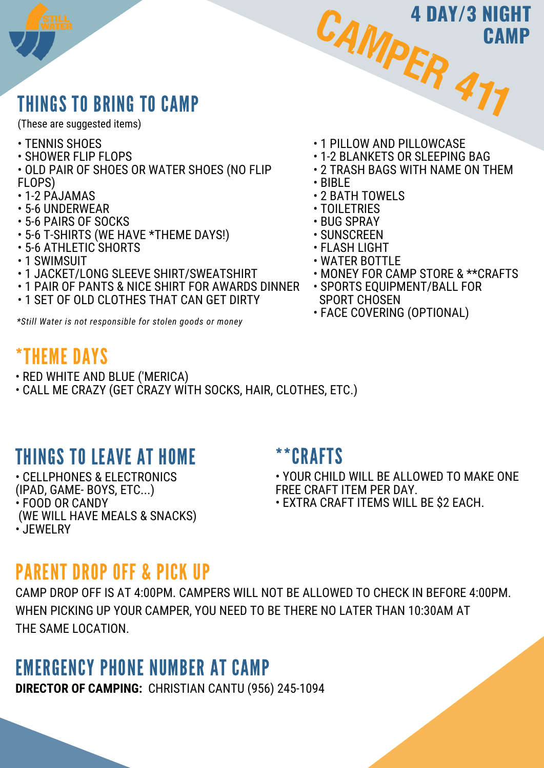# THINGS TO BRING TO CAMP

(These are suggested items)

- TENNIS SHOES
- SHOWER FLIP FLOPS
- OLD PAIR OF SHOES OR WATER SHOES (NO FLIP FLOPS)
- 1-2 PAJAMAS
- 5-6 UNDERWEAR
- 5-6 PAIRS OF SOCKS
- 5-6 T-SHIRTS (WE HAVE \*THEME DAYS!)
- 5-6 ATHLETIC SHORTS
- 1 SWIMSUIT
- 1 JACKET/LONG SLEEVE SHIRT/SWEATSHIRT
- 1 PAIR OF PANTS & NICE SHIRT FOR AWARDS DINNER
- 1 SET OF OLD CLOTHES THAT CAN GET DIRTY

*\*Still Water is not responsible for stolen goods or money*

# \*THEME DAYS

- RED WHITE AND BLUE ('MERICA)
- CALL ME CRAZY (GET CRAZY WITH SOCKS, HAIR, CLOTHES, ETC.)

# THINGS TO LEAVE AT HOME

• CELLPHONES & ELECTRONICS (IPAD, GAME- BOYS, ETC...) • FOOD OR CANDY (WE WILL HAVE MEALS & SNACKS) • JEWELRY

### \*\*CRAFTS

• YOUR CHILD WILL BE ALLOWED TO MAKE ONE FREE CRAFT ITEM PER DAY.

• EXTRA CRAFT ITEMS WILL BE \$2 EACH.

## PARENT DROP OFF & PICK UP

CAMP DROP OFF IS AT 4:00PM. CAMPERS WILL NOT BE ALLOWED TO CHECK IN BEFORE 4:00PM. WHEN PICKING UP YOUR CAMPER, YOU NEED TO BE THERE NO LATER THAN 10:30AM AT THE SAME LOCATION.

## EMERGENCY PHONE NUMBER AT CAMP

**DIRECTOR OF CAMPING:** CHRISTIAN CANTU (956) 245-1094

• 1 PILLOW AND PILLOWCASE

CAMPER

- 1-2 BLANKETS OR SLEEPING BAG
- 2 TRASH BAGS WITH NAME ON THEM

477

**CAMP**

**4 DAY/3 NIGHT**

- BIBLE
- 2 BATH TOWELS
- TOILETRIES
- BUG SPRAY
- SUNSCREEN
- FLASH LIGHT
- WATER BOTTLE
- MONEY FOR CAMP STORE & \*\*CRAFTS
- SPORTS EQUIPMENT/BALL FOR SPORT CHOSEN
- FACE COVERING (OPTIONAL)